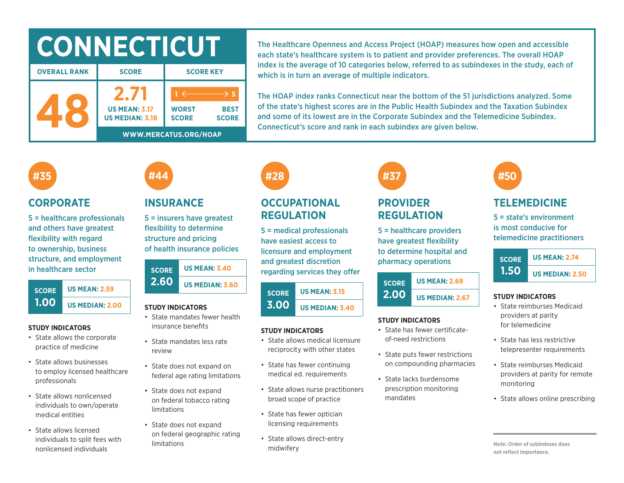# **CONNECTICUT**

| <b>OVERALL RANK</b> | <b>SCORE</b>                                   | <b>SCORE KEY</b>                                            |  |  |  |  |  |
|---------------------|------------------------------------------------|-------------------------------------------------------------|--|--|--|--|--|
|                     | <b>US MEAN: 3.17</b><br><b>US MEDIAN: 3.18</b> | <b>WORST</b><br><b>BEST</b><br><b>SCORE</b><br><b>SCORE</b> |  |  |  |  |  |
|                     | WWW.MERCATUS.ORG/HOAP                          |                                                             |  |  |  |  |  |

The Healthcare Openness and Access Project (HOAP) measures how open and accessible each state's healthcare system is to patient and provider preferences. The overall HOAP index is the average of 10 categories below, referred to as subindexes in the study, each of which is in turn an average of multiple indicators.

The HOAP index ranks Connecticut near the bottom of the 51 jurisdictions analyzed. Some of the state's highest scores are in the Public Health Subindex and the Taxation Subindex and some of its lowest are in the Corporate Subindex and the Telemedicine Subindex. Connecticut's score and rank in each subindex are given below.

## **#35**

### **CORPORATE**

5 = healthcare professionals and others have greatest flexibility with regard to ownership, business structure, and employment in healthcare sector



#### **STUDY INDICATORS**

- State allows the corporate practice of medicine
- State allows businesses to employ licensed healthcare professionals
- State allows nonlicensed individuals to own/operate medical entities
- State allows licensed individuals to split fees with nonlicensed individuals

## **INSURANCE**

**#44**

5 = insurers have greatest flexibility to determine structure and pricing of health insurance policies

| <b>SCORE</b><br><b>2.60</b> | <b>US MEAN: 3.40</b>   |  |  |  |  |
|-----------------------------|------------------------|--|--|--|--|
|                             | <b>US MEDIAN: 3.60</b> |  |  |  |  |

#### **STUDY INDICATORS**

- State mandates fewer health insurance benefits
- State mandates less rate review
- State does not expand on federal age rating limitations
- State does not expand on federal tobacco rating limitations
- State does not expand on federal geographic rating limitations

## **#28**

## **OCCUPATIONAL REGULATION**

5 = medical professionals have easiest access to licensure and employment and greatest discretion regarding services they offer

#### **SCORE 3.00 US MEAN: 3.15 US MEDIAN: 3.40**

#### **STUDY INDICATORS**

- State allows medical licensure reciprocity with other states
- State has fewer continuing medical ed. requirements
- State allows nurse practitioners broad scope of practice
- State has fewer optician licensing requirements
- State allows direct-entry midwifery

# **#37**

### **PROVIDER REGULATION**

5 = healthcare providers have greatest flexibility to determine hospital and pharmacy operations

#### **SCORE 2.00 US MEAN: 2.69 US MEDIAN: 2.67**

#### **STUDY INDICATORS**

- State has fewer certificateof-need restrictions
- State puts fewer restrictions on compounding pharmacies
- State lacks burdensome prescription monitoring mandates

## **#50**

## **TELEMEDICINE**

5 = state's environment is most conducive for telemedicine practitioners



#### **STUDY INDICATORS**

- State reimburses Medicaid providers at parity for telemedicine
- State has less restrictive telepresenter requirements
- State reimburses Medicaid providers at parity for remote monitoring
- State allows online prescribing

**Note: Order of subindexes does not reflect importance.**